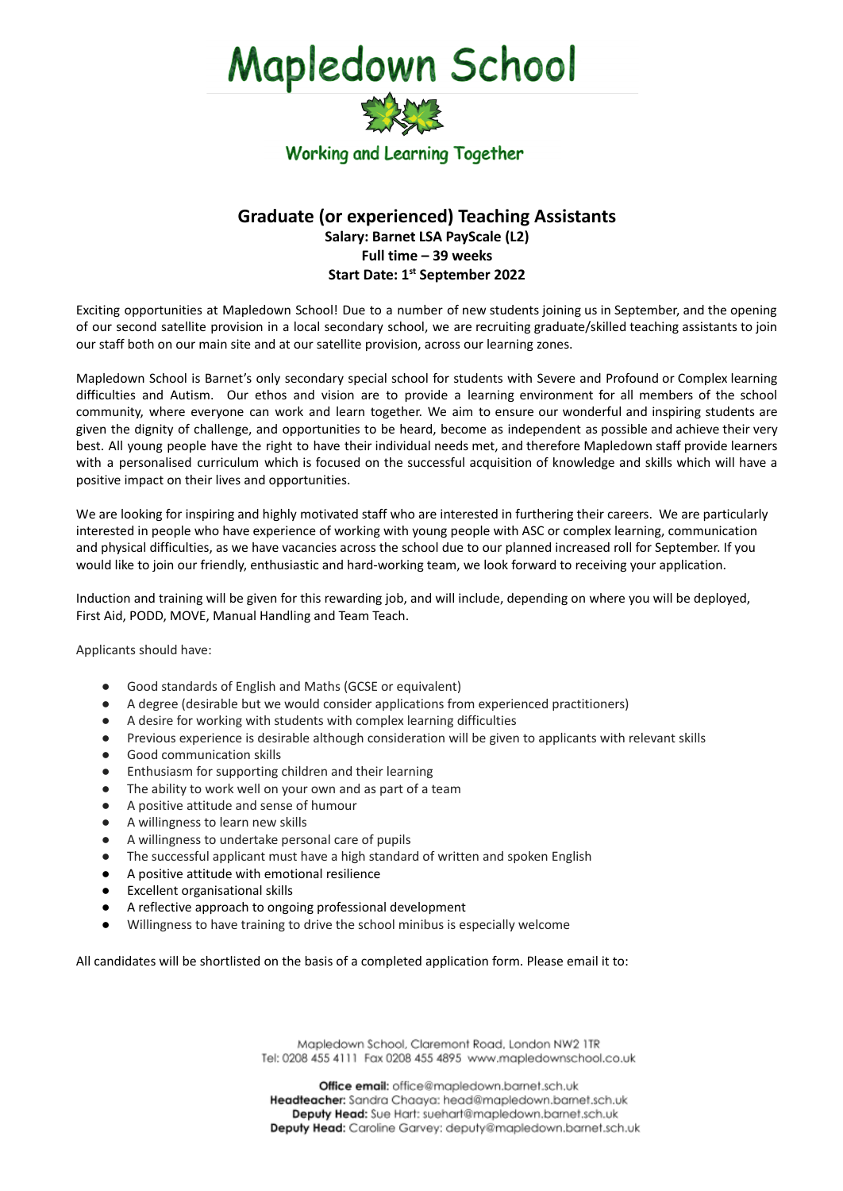## Mapledown School



## **Graduate (or experienced) Teaching Assistants Salary: Barnet LSA PayScale (L2) Full time – 39 weeks Start Date: 1 st September 2022**

Exciting opportunities at Mapledown School! Due to a number of new students joining us in September, and the opening of our second satellite provision in a local secondary school, we are recruiting graduate/skilled teaching assistants to join our staff both on our main site and at our satellite provision, across our learning zones.

Mapledown School is Barnet's only secondary special school for students with Severe and Profound or Complex learning difficulties and Autism. Our ethos and vision are to provide a learning environment for all members of the school community, where everyone can work and learn together. We aim to ensure our wonderful and inspiring students are given the dignity of challenge, and opportunities to be heard, become as independent as possible and achieve their very best. All young people have the right to have their individual needs met, and therefore Mapledown staff provide learners with a personalised curriculum which is focused on the successful acquisition of knowledge and skills which will have a positive impact on their lives and opportunities.

We are looking for inspiring and highly motivated staff who are interested in furthering their careers. We are particularly interested in people who have experience of working with young people with ASC or complex learning, communication and physical difficulties, as we have vacancies across the school due to our planned increased roll for September. If you would like to join our friendly, enthusiastic and hard-working team, we look forward to receiving your application.

Induction and training will be given for this rewarding job, and will include, depending on where you will be deployed, First Aid, PODD, MOVE, Manual Handling and Team Teach.

Applicants should have:

- Good standards of English and Maths (GCSE or equivalent)
- A degree (desirable but we would consider applications from experienced practitioners)
- A desire for working with students with complex learning difficulties
- Previous experience is desirable although consideration will be given to applicants with relevant skills
- Good communication skills
- Enthusiasm for supporting children and their learning
- The ability to work well on your own and as part of a team
- A positive attitude and sense of humour
- A willingness to learn new skills
- A willingness to undertake personal care of pupils
- The successful applicant must have a high standard of written and spoken English
- A positive attitude with emotional resilience
- Excellent organisational skills
- A reflective approach to ongoing professional development
- Willingness to have training to drive the school minibus is especially welcome

All candidates will be shortlisted on the basis of a completed application form. Please email it to:

Mapledown School, Claremont Road, London NW2 1TR Tel: 0208 455 4111 Fax 0208 455 4895 www.mapledownschool.co.uk

Office email: office@mapledown.barnet.sch.uk Headteacher: Sandra Chaaya: head@mapledown.barnet.sch.uk Deputy Head: Sue Hart: suehart@mapledown.barnet.sch.uk Deputy Head: Caroline Garvey: deputy@mapledown.barnet.sch.uk